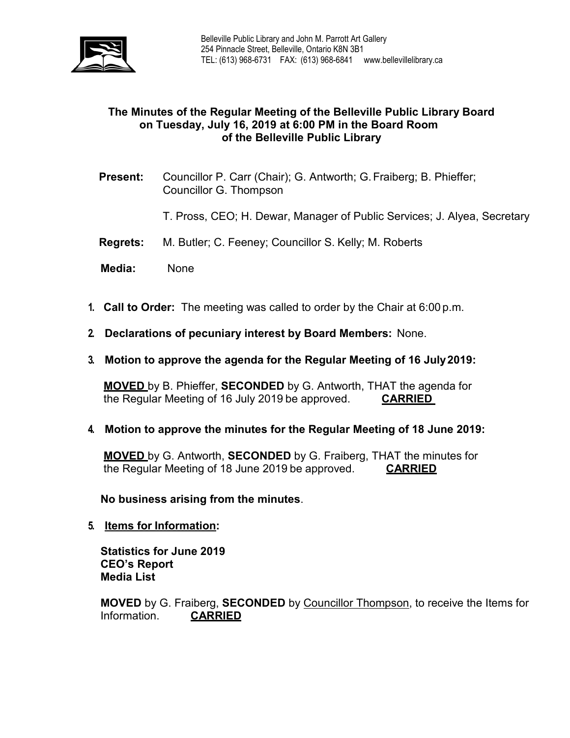

## **The Minutes of the Regular Meeting of the Belleville Public Library Board on Tuesday, July 16, 2019 at 6:00 PM in the Board Room of the Belleville Public Library**

- **Present:** Councillor P. Carr (Chair); G. Antworth; G.Fraiberg; B. Phieffer; Councillor G. Thompson
	- T. Pross, CEO; H. Dewar, Manager of Public Services; J. Alyea, Secretary
- **Regrets:** M. Butler; C. Feeney; Councillor S. Kelly; M. Roberts
- **Media:** None
- **1. Call to Order:** The meeting was called to order by the Chair at 6:00 p.m.
- **2. Declarations of pecuniary interest by Board Members:** None.
- **3. Motion to approve the agenda for the Regular Meeting of 16 July2019:**

**MOVED** by B. Phieffer, **SECONDED** by G. Antworth, THAT the agenda for the Regular Meeting of 16 July 2019 be approved. **CARRIED**

**4. Motion to approve the minutes for the Regular Meeting of 18 June 2019:**

**MOVED** by G. Antworth, **SECONDED** by G. Fraiberg, THAT the minutes for the Regular Meeting of 18 June 2019 be approved. **CARRIED**

**No business arising from the minutes**.

**5. Items for Information:**

**Statistics for June 2019 CEO's Report Media List**

**MOVED** by G. Fraiberg, **SECONDED** by Councillor Thompson, to receive the Items for Information. **CARRIED**